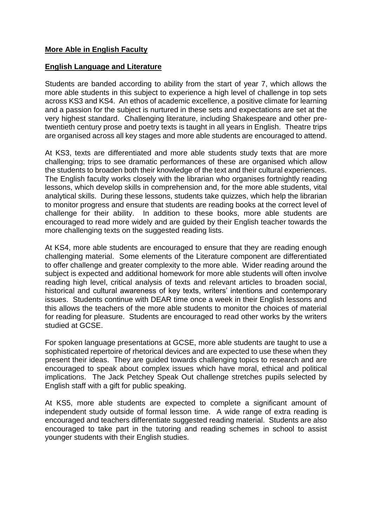## **More Able in English Faculty**

## **English Language and Literature**

Students are banded according to ability from the start of year 7, which allows the more able students in this subject to experience a high level of challenge in top sets across KS3 and KS4. An ethos of academic excellence, a positive climate for learning and a passion for the subject is nurtured in these sets and expectations are set at the very highest standard. Challenging literature, including Shakespeare and other pretwentieth century prose and poetry texts is taught in all years in English. Theatre trips are organised across all key stages and more able students are encouraged to attend.

At KS3, texts are differentiated and more able students study texts that are more challenging; trips to see dramatic performances of these are organised which allow the students to broaden both their knowledge of the text and their cultural experiences. The English faculty works closely with the librarian who organises fortnightly reading lessons, which develop skills in comprehension and, for the more able students, vital analytical skills. During these lessons, students take quizzes, which help the librarian to monitor progress and ensure that students are reading books at the correct level of challenge for their ability. In addition to these books, more able students are encouraged to read more widely and are guided by their English teacher towards the more challenging texts on the suggested reading lists.

At KS4, more able students are encouraged to ensure that they are reading enough challenging material. Some elements of the Literature component are differentiated to offer challenge and greater complexity to the more able. Wider reading around the subject is expected and additional homework for more able students will often involve reading high level, critical analysis of texts and relevant articles to broaden social, historical and cultural awareness of key texts, writers' intentions and contemporary issues. Students continue with DEAR time once a week in their English lessons and this allows the teachers of the more able students to monitor the choices of material for reading for pleasure. Students are encouraged to read other works by the writers studied at GCSE.

For spoken language presentations at GCSE, more able students are taught to use a sophisticated repertoire of rhetorical devices and are expected to use these when they present their ideas. They are guided towards challenging topics to research and are encouraged to speak about complex issues which have moral, ethical and political implications. The Jack Petchey Speak Out challenge stretches pupils selected by English staff with a gift for public speaking.

At KS5, more able students are expected to complete a significant amount of independent study outside of formal lesson time. A wide range of extra reading is encouraged and teachers differentiate suggested reading material. Students are also encouraged to take part in the tutoring and reading schemes in school to assist younger students with their English studies.